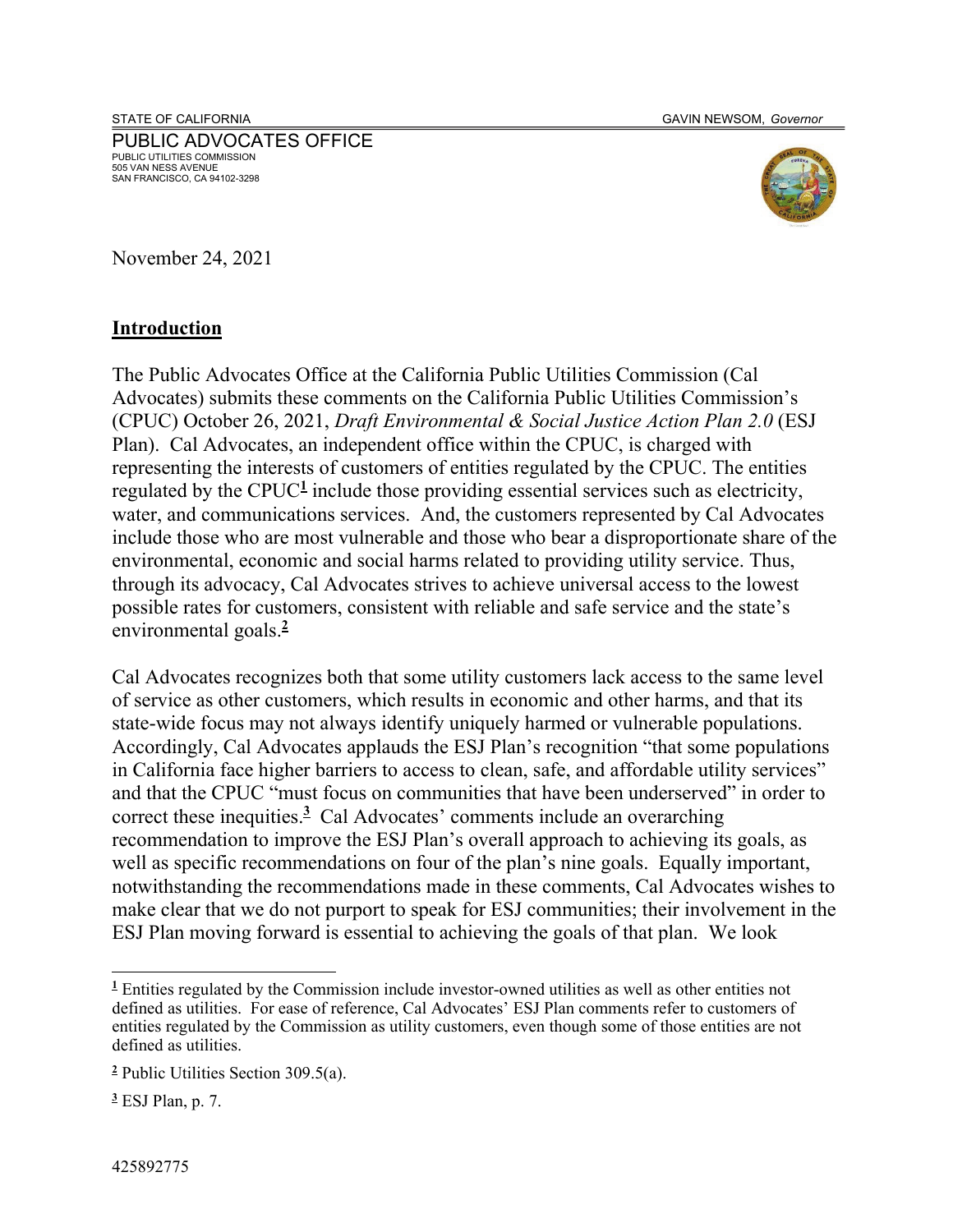PUBLIC ADVOCATES OFFICE PUBLIC UTILITIES COMMISSION 505 VAN NESS AVENUE SAN FRANCISCO, CA 94102-3298



November 24, 2021

#### **Introduction**

The Public Advocates Office at the California Public Utilities Commission (Cal Advocates) submits these comments on the California Public Utilities Commission's (CPUC) October 26, 2021, *Draft Environmental & Social Justice Action Plan 2.0* (ESJ Plan). Cal Advocates, an independent office within the CPUC, is charged with representing the interests of customers of entities regulated by the CPUC. The entities regulated by the CPUC<sup>1</sup> include those providing essential services such as electricity, water, and communications services. And, the customers represented by Cal Advocates include those who are most vulnerable and those who bear a disproportionate share of the environmental, economic and social harms related to providing utility service. Thus, through its advocacy, Cal Advocates strives to achieve universal access to the lowest possible rates for customers, consistent with reliable and safe service and the state's environmental goals.**<sup>2</sup>**

Cal Advocates recognizes both that some utility customers lack access to the same level of service as other customers, which results in economic and other harms, and that its state-wide focus may not always identify uniquely harmed or vulnerable populations. Accordingly, Cal Advocates applauds the ESJ Plan's recognition "that some populations in California face higher barriers to access to clean, safe, and affordable utility services" and that the CPUC "must focus on communities that have been underserved" in order to correct these inequities.**<sup>3</sup>** Cal Advocates' comments include an overarching recommendation to improve the ESJ Plan's overall approach to achieving its goals, as well as specific recommendations on four of the plan's nine goals. Equally important, notwithstanding the recommendations made in these comments, Cal Advocates wishes to make clear that we do not purport to speak for ESJ communities; their involvement in the ESJ Plan moving forward is essential to achieving the goals of that plan. We look

<sup>&</sup>lt;sup>1</sup> Entities regulated by the Commission include investor-owned utilities as well as other entities not defined as utilities. For ease of reference, Cal Advocates' ESJ Plan comments refer to customers of entities regulated by the Commission as utility customers, even though some of those entities are not defined as utilities.

**<sup>2</sup>** Public Utilities Section 309.5(a).

**<sup>3</sup>** ESJ Plan, p. 7.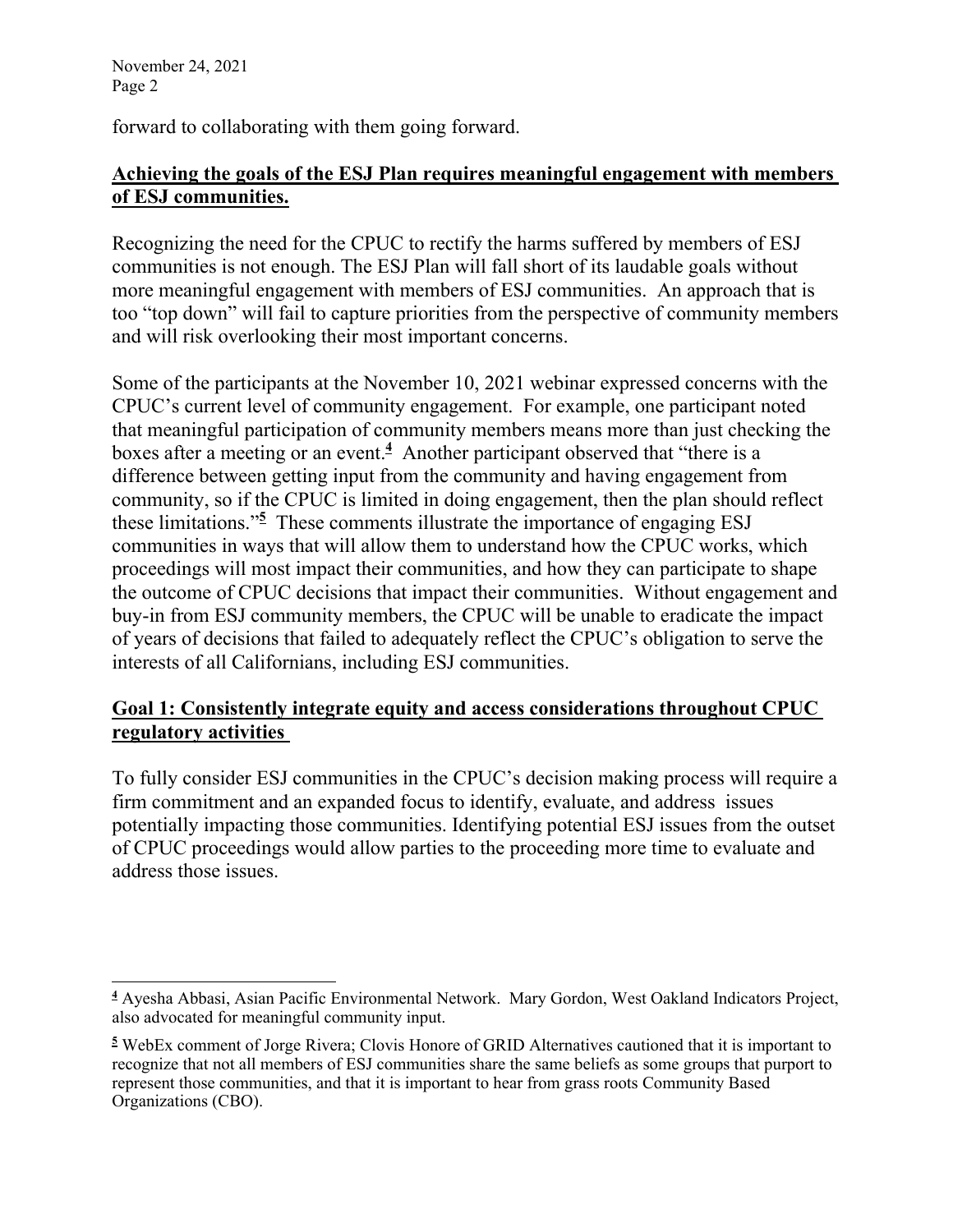forward to collaborating with them going forward.

# **Achieving the goals of the ESJ Plan requires meaningful engagement with members of ESJ communities.**

Recognizing the need for the CPUC to rectify the harms suffered by members of ESJ communities is not enough. The ESJ Plan will fall short of its laudable goals without more meaningful engagement with members of ESJ communities. An approach that is too "top down" will fail to capture priorities from the perspective of community members and will risk overlooking their most important concerns.

Some of the participants at the November 10, 2021 webinar expressed concerns with the CPUC's current level of community engagement. For example, one participant noted that meaningful participation of community members means more than just checking the boxes after a meeting or an event.**<sup>4</sup>** Another participant observed that "there is a difference between getting input from the community and having engagement from community, so if the CPUC is limited in doing engagement, then the plan should reflect these limitations."**<sup>5</sup>** These comments illustrate the importance of engaging ESJ communities in ways that will allow them to understand how the CPUC works, which proceedings will most impact their communities, and how they can participate to shape the outcome of CPUC decisions that impact their communities. Without engagement and buy-in from ESJ community members, the CPUC will be unable to eradicate the impact of years of decisions that failed to adequately reflect the CPUC's obligation to serve the interests of all Californians, including ESJ communities.

### **Goal 1: Consistently integrate equity and access considerations throughout CPUC regulatory activities**

To fully consider ESJ communities in the CPUC's decision making process will require a firm commitment and an expanded focus to identify, evaluate, and address issues potentially impacting those communities. Identifying potential ESJ issues from the outset of CPUC proceedings would allow parties to the proceeding more time to evaluate and address those issues.

**<sup>4</sup>** Ayesha Abbasi, Asian Pacific Environmental Network. Mary Gordon, West Oakland Indicators Project, also advocated for meaningful community input.

**<sup>5</sup>** WebEx comment of Jorge Rivera; Clovis Honore of GRID Alternatives cautioned that it is important to recognize that not all members of ESJ communities share the same beliefs as some groups that purport to represent those communities, and that it is important to hear from grass roots Community Based Organizations (CBO).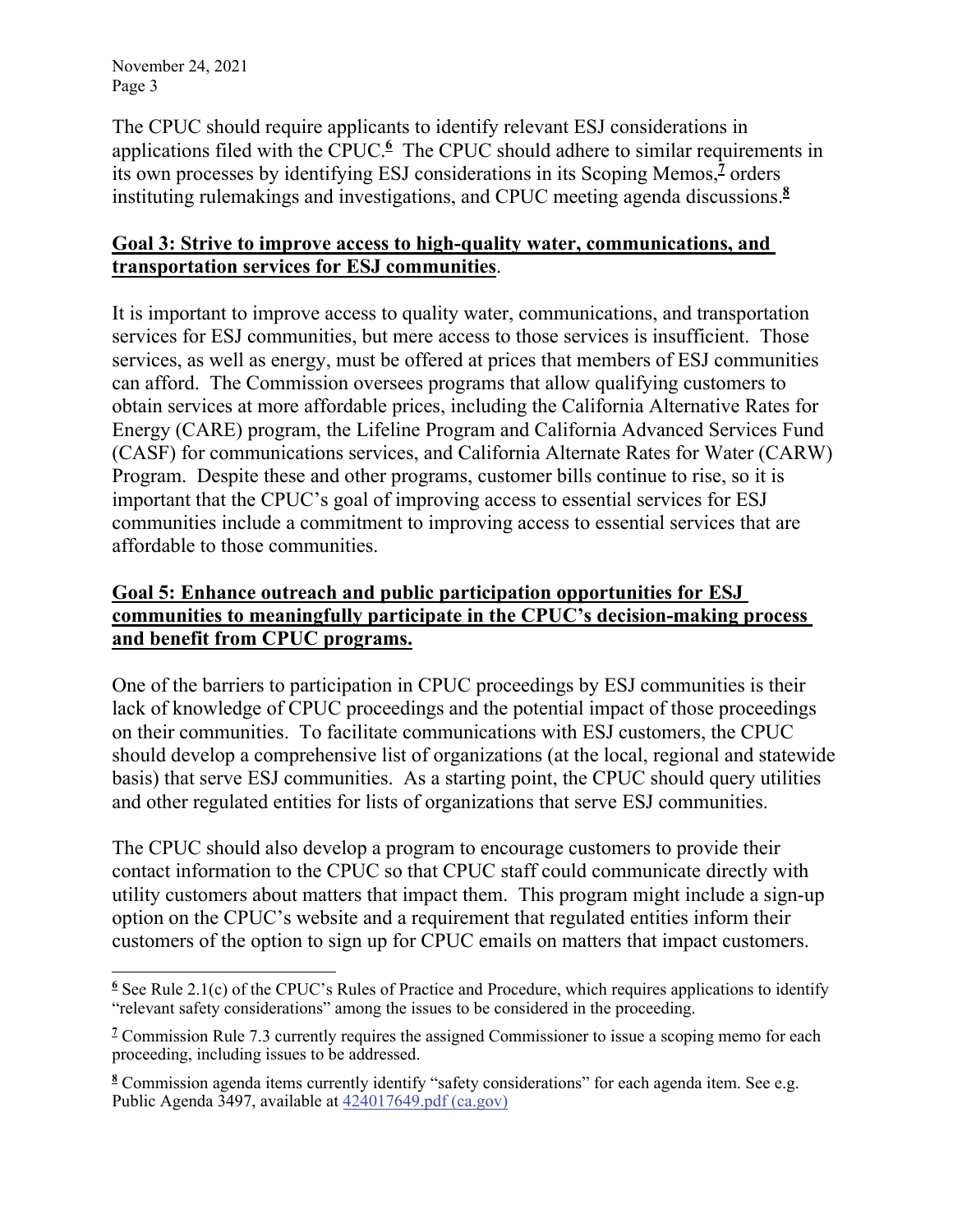The CPUC should require applicants to identify relevant ESJ considerations in applications filed with the CPUC.<sup>6</sup> The CPUC should adhere to similar requirements in its own processes by identifying ESJ considerations in its Scoping Memos,<sup>2</sup> orders instituting rulemakings and investigations, and CPUC meeting agenda discussions.**<sup>8</sup>**

### **Goal 3: Strive to improve access to high-quality water, communications, and transportation services for ESJ communities**.

It is important to improve access to quality water, communications, and transportation services for ESJ communities, but mere access to those services is insufficient. Those services, as well as energy, must be offered at prices that members of ESJ communities can afford. The Commission oversees programs that allow qualifying customers to obtain services at more affordable prices, including the California Alternative Rates for Energy (CARE) program, the Lifeline Program and California Advanced Services Fund (CASF) for communications services, and California Alternate Rates for Water (CARW) Program. Despite these and other programs, customer bills continue to rise, so it is important that the CPUC's goal of improving access to essential services for ESJ communities include a commitment to improving access to essential services that are affordable to those communities.

# **Goal 5: Enhance outreach and public participation opportunities for ESJ communities to meaningfully participate in the CPUC's decision-making process and benefit from CPUC programs.**

One of the barriers to participation in CPUC proceedings by ESJ communities is their lack of knowledge of CPUC proceedings and the potential impact of those proceedings on their communities. To facilitate communications with ESJ customers, the CPUC should develop a comprehensive list of organizations (at the local, regional and statewide basis) that serve ESJ communities. As a starting point, the CPUC should query utilities and other regulated entities for lists of organizations that serve ESJ communities.

The CPUC should also develop a program to encourage customers to provide their contact information to the CPUC so that CPUC staff could communicate directly with utility customers about matters that impact them. This program might include a sign-up option on the CPUC's website and a requirement that regulated entities inform their customers of the option to sign up for CPUC emails on matters that impact customers.

<sup>&</sup>lt;sup>6</sup> See Rule 2.1(c) of the CPUC's Rules of Practice and Procedure, which requires applications to identify "relevant safety considerations" among the issues to be considered in the proceeding.

<sup>&</sup>lt;sup>7</sup> Commission Rule 7.3 currently requires the assigned Commissioner to issue a scoping memo for each proceeding, including issues to be addressed.

**<sup>8</sup>** Commission agenda items currently identify "safety considerations" for each agenda item. See e.g. Public Agenda 3497, available at  $424017649.$ pdf (ca.gov)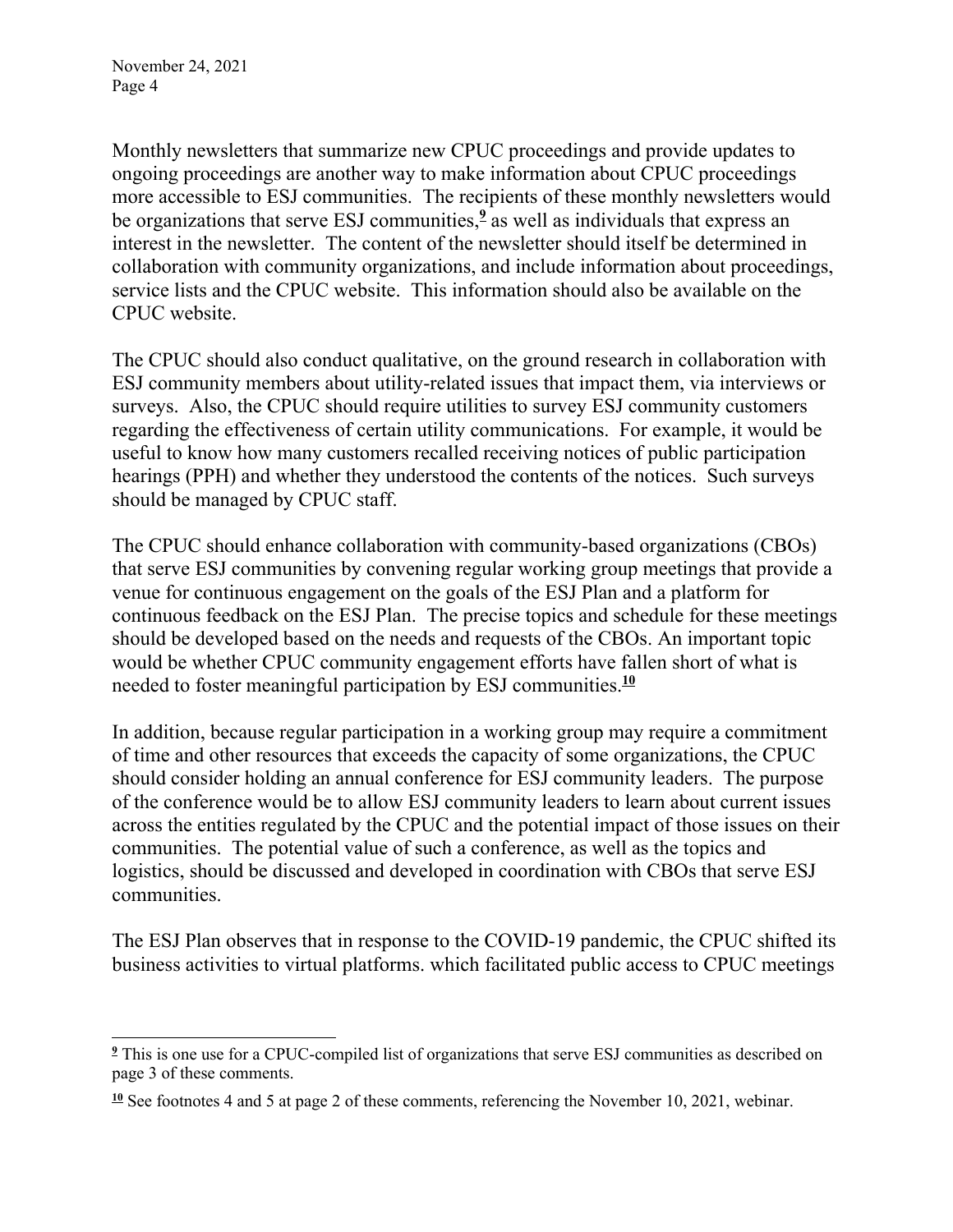Monthly newsletters that summarize new CPUC proceedings and provide updates to ongoing proceedings are another way to make information about CPUC proceedings more accessible to ESJ communities. The recipients of these monthly newsletters would be organizations that serve ESJ communities,**<sup>9</sup>** as well as individuals that express an interest in the newsletter. The content of the newsletter should itself be determined in collaboration with community organizations, and include information about proceedings, service lists and the CPUC website. This information should also be available on the CPUC website.

The CPUC should also conduct qualitative, on the ground research in collaboration with ESJ community members about utility-related issues that impact them, via interviews or surveys. Also, the CPUC should require utilities to survey ESJ community customers regarding the effectiveness of certain utility communications. For example, it would be useful to know how many customers recalled receiving notices of public participation hearings (PPH) and whether they understood the contents of the notices. Such surveys should be managed by CPUC staff.

The CPUC should enhance collaboration with community-based organizations (CBOs) that serve ESJ communities by convening regular working group meetings that provide a venue for continuous engagement on the goals of the ESJ Plan and a platform for continuous feedback on the ESJ Plan. The precise topics and schedule for these meetings should be developed based on the needs and requests of the CBOs. An important topic would be whether CPUC community engagement efforts have fallen short of what is needed to foster meaningful participation by ESJ communities.**<sup>10</sup>**

In addition, because regular participation in a working group may require a commitment of time and other resources that exceeds the capacity of some organizations, the CPUC should consider holding an annual conference for ESJ community leaders. The purpose of the conference would be to allow ESJ community leaders to learn about current issues across the entities regulated by the CPUC and the potential impact of those issues on their communities. The potential value of such a conference, as well as the topics and logistics, should be discussed and developed in coordination with CBOs that serve ESJ communities.

The ESJ Plan observes that in response to the COVID-19 pandemic, the CPUC shifted its business activities to virtual platforms. which facilitated public access to CPUC meetings

<sup>&</sup>lt;sup>2</sup> This is one use for a CPUC-compiled list of organizations that serve ESJ communities as described on page 3 of these comments.

**<sup>10</sup>** See footnotes 4 and 5 at page 2 of these comments, referencing the November 10, 2021, webinar.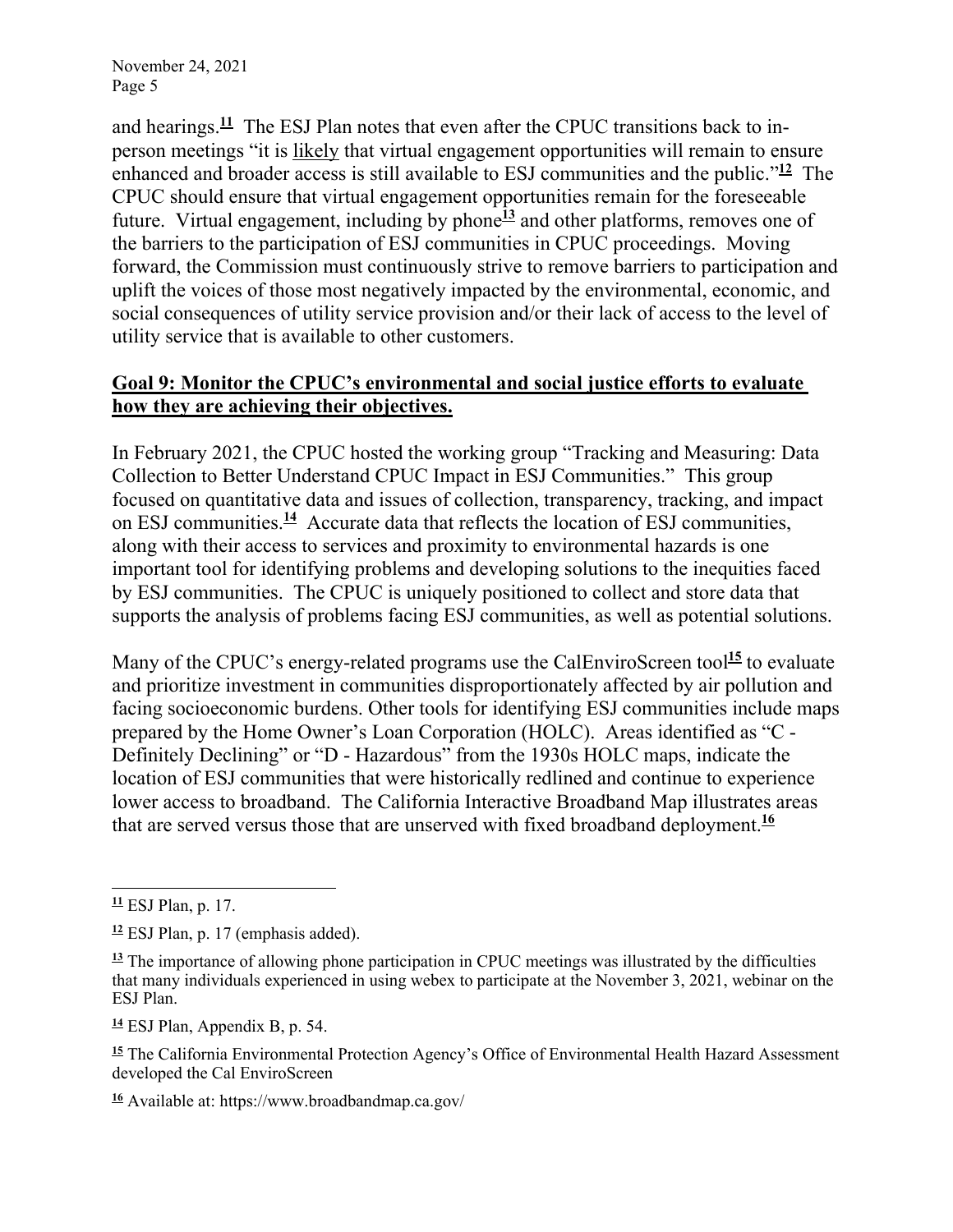and hearings.**<sup>11</sup>** The ESJ Plan notes that even after the CPUC transitions back to inperson meetings "it is likely that virtual engagement opportunities will remain to ensure enhanced and broader access is still available to ESJ communities and the public."**<sup>12</sup>** The CPUC should ensure that virtual engagement opportunities remain for the foreseeable future. Virtual engagement, including by phone<sup>13</sup> and other platforms, removes one of the barriers to the participation of ESJ communities in CPUC proceedings. Moving forward, the Commission must continuously strive to remove barriers to participation and uplift the voices of those most negatively impacted by the environmental, economic, and social consequences of utility service provision and/or their lack of access to the level of utility service that is available to other customers.

### **Goal 9: Monitor the CPUC's environmental and social justice efforts to evaluate how they are achieving their objectives.**

In February 2021, the CPUC hosted the working group "Tracking and Measuring: Data Collection to Better Understand CPUC Impact in ESJ Communities." This group focused on quantitative data and issues of collection, transparency, tracking, and impact on ESJ communities.**<sup>14</sup>** Accurate data that reflects the location of ESJ communities, along with their access to services and proximity to environmental hazards is one important tool for identifying problems and developing solutions to the inequities faced by ESJ communities. The CPUC is uniquely positioned to collect and store data that supports the analysis of problems facing ESJ communities, as well as potential solutions.

Many of the CPUC's energy-related programs use the CalEnviroScreen tool<sup>15</sup> to evaluate and prioritize investment in communities disproportionately affected by air pollution and facing socioeconomic burdens. Other tools for identifying ESJ communities include maps prepared by the Home Owner's Loan Corporation (HOLC). Areas identified as "C - Definitely Declining" or "D - Hazardous" from the 1930s HOLC maps, indicate the location of ESJ communities that were historically redlined and continue to experience lower access to broadband. The California Interactive Broadband Map illustrates areas that are served versus those that are unserved with fixed broadband deployment.**<sup>16</sup>**

**<sup>14</sup>** ESJ Plan, Appendix B, p. 54.

**<sup>11</sup>** ESJ Plan, p. 17.

**<sup>12</sup>** ESJ Plan, p. 17 (emphasis added).

**<sup>13</sup>** The importance of allowing phone participation in CPUC meetings was illustrated by the difficulties that many individuals experienced in using webex to participate at the November 3, 2021, webinar on the ESJ Plan.

**<sup>15</sup>** The California Environmental Protection Agency's Office of Environmental Health Hazard Assessment developed the Cal EnviroScreen

**<sup>16</sup>** Available at: https://www.broadbandmap.ca.gov/